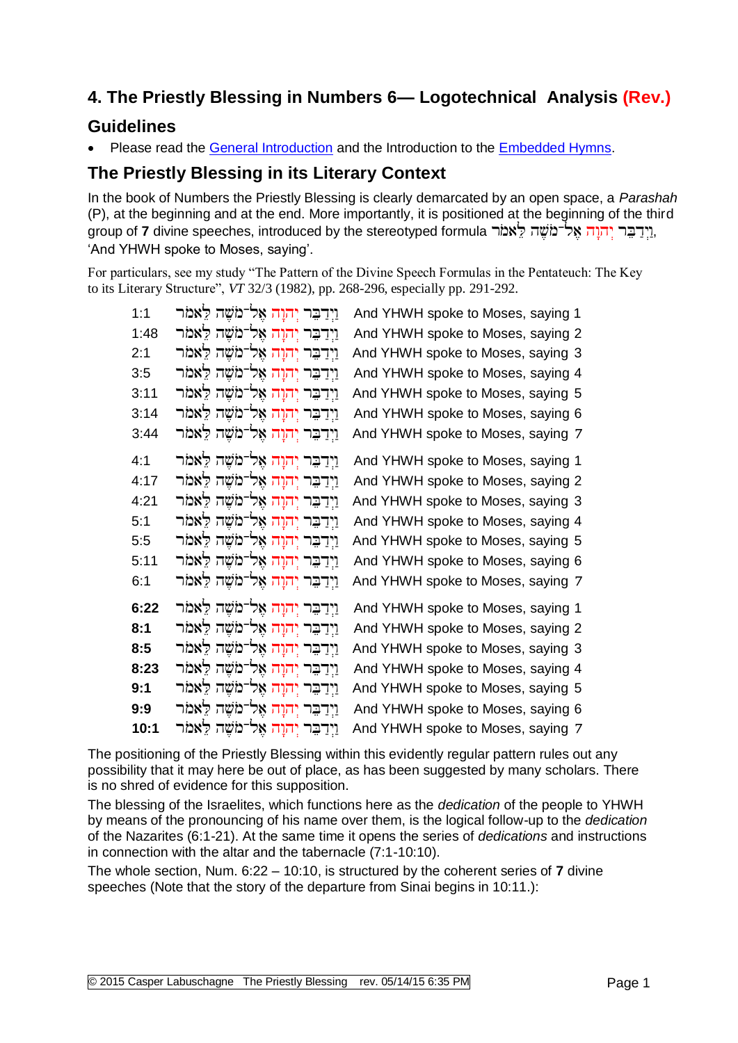# **4. The Priestly Blessing in Numbers 6— Logotechnical Analysis (Rev.)**

#### **Guidelines**

Please read the [General Introduction](http://www.labuschagne.nl/aspects.pdf) and the Introduction to the [Embedded Hymns.](http://www.labuschagne.nl/intro.embed.pdf)

### **The Priestly Blessing in its Literary Context**

In the book of Numbers the Priestly Blessing is clearly demarcated by an open space, a *Parashah*  (P), at the beginning and at the end. More importantly, it is positioned at the beginning of the third group of **7** divine speeches, introduced by the stereotyped formula , 'And YHWH spoke to Moses, saying'.

For particulars, see my study "The Pattern of the Divine Speech Formulas in the Pentateuch: The Key to its Literary Structure", *VT* 32/3 (1982), pp. 268-296, especially pp. 291-292.

| 1:1  | וַיְדַבֵּר יְהוָה אֶל־מֹשֵׁה לֵאמֹר                | And YHWH spoke to Moses, saying 1 |
|------|----------------------------------------------------|-----------------------------------|
| 1:48 | וַיִדַבֵּר יְהוָה אֵל־מֹשֶׁה לֵאמֹר                | And YHWH spoke to Moses, saying 2 |
| 2:1  | וַיְדַבֵּר יְהוָה אֱל־מֹשֵׁה לֵאמֹר                | And YHWH spoke to Moses, saying 3 |
| 3:5  | וַיְדַבֵּר יְהוָה אֱל־מֹשֵׁה לֵאמֹר                | And YHWH spoke to Moses, saying 4 |
| 3:11 | וַיְדַבֵּר יְהוָה אֱל־מֹשֵׁה לֵאמֹר                | And YHWH spoke to Moses, saying 5 |
| 3:14 | וַיִדַבֵּר יְהוָה אֵל־מֹשֵׁה לֵאמֹר                | And YHWH spoke to Moses, saying 6 |
| 3:44 | וַיְדַבֵּר יְהוָה אֵל־מֹשֵׁה לֵאמֹר                | And YHWH spoke to Moses, saying 7 |
| 4:1  | וַיְדַבֵּר יְהוָה אֶל־מֹשֶׁה לֵאמֹר                | And YHWH spoke to Moses, saying 1 |
| 4:17 | וַיְדַבֵּר יְהוָה אֱל־מֹשֵׁה לֵאמֹר                | And YHWH spoke to Moses, saying 2 |
| 4.21 | וַיְדַבֵּר יְהוָה אֵל־מֹשֵׁה לֵאמֹר                | And YHWH spoke to Moses, saying 3 |
| 5:1  | וַיִדַבֵּר יְהוַה אֵל־מֹשֶׁה לֵאמֹר                | And YHWH spoke to Moses, saying 4 |
| 5:5  | וַיִדַבֵּר יְהוָה אֱל־מֹשֵׁה לֵאמֹר                | And YHWH spoke to Moses, saying 5 |
| 5:11 | וַיְדַבֵּר יְ <mark>הוָה אֶל־מֹ</mark> שֵׁה לֵאמֹר | And YHWH spoke to Moses, saying 6 |
| 6:1  | וַיְדַבֵּר יְהוָה אֶל־מֹשֶׁה לֵאמֹר                | And YHWH spoke to Moses, saying 7 |
| 6:22 | וַיְדַבֵּר יְהוָה אֶל <sup>-</sup> מֹשֶׁה לֵאמֹר   | And YHWH spoke to Moses, saying 1 |
| 8:1  | וַיְדַבֵּר יְהוָה אֱל־מֹשֵׁה לֵאמֹר                | And YHWH spoke to Moses, saying 2 |
| 8:5  | ויִדַבֵּר יְהוָה אֵל־מֹשֵׁה לֵאמֹר                 | And YHWH spoke to Moses, saying 3 |
| 8:23 | ויִדַבֵּר יְהוָה אֵל־מֹשֵׁה לֵאמֹר                 | And YHWH spoke to Moses, saying 4 |
| 9:1  | וַיְדַבֵּר יְהוָה אֶל־מֹשֵׁה לֵאמֹר                | And YHWH spoke to Moses, saying 5 |
| 9:9  | וַיְדַבֵּר יְהוָה אֱל־מֹשֵׁה לֵאמֹר                | And YHWH spoke to Moses, saying 6 |
| 10:1 | וַיְדַבֵּר יְהוָה אֶל־מֹשֵׁה לֵאמֹר                | And YHWH spoke to Moses, saying 7 |

The positioning of the Priestly Blessing within this evidently regular pattern rules out any possibility that it may here be out of place, as has been suggested by many scholars. There is no shred of evidence for this supposition.

The blessing of the Israelites, which functions here as the *dedication* of the people to YHWH by means of the pronouncing of his name over them, is the logical follow-up to the *dedication* of the Nazarites (6:1-21). At the same time it opens the series of *dedications* and instructions in connection with the altar and the tabernacle (7:1-10:10).

The whole section, Num. 6:22 – 10:10, is structured by the coherent series of **7** divine speeches (Note that the story of the departure from Sinai begins in 10:11.):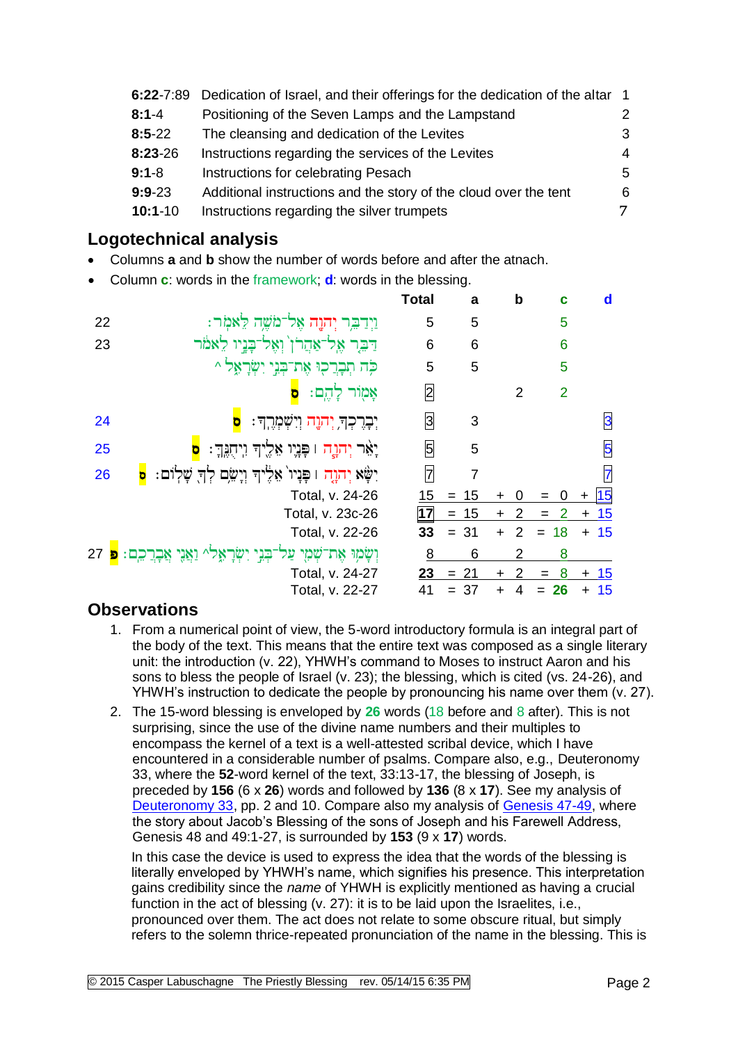| $6:22 - 7:89$ | Dedication of Israel, and their offerings for the dedication of the altar 1 |                |
|---------------|-----------------------------------------------------------------------------|----------------|
| $8:1 - 4$     | Positioning of the Seven Lamps and the Lampstand                            | 2              |
| $8:5-22$      | The cleansing and dedication of the Levites                                 | 3              |
| $8:23-26$     | Instructions regarding the services of the Levites                          | $\overline{4}$ |
| $9:1 - 8$     | Instructions for celebrating Pesach                                         | .5             |
| $9:9-23$      | Additional instructions and the story of the cloud over the tent            | 6              |
| $10:1-10$     | Instructions regarding the silver trumpets                                  | 7              |

## **Logotechnical analysis**

- Columns **a** and **b** show the number of words before and after the atnach.
- Column **c**: words in the framework; **d**: words in the blessing.

|    |                                                           | <b>Total</b>   | a         |           | b              | c              | d        |
|----|-----------------------------------------------------------|----------------|-----------|-----------|----------------|----------------|----------|
| 22 | וַיְדַבְּר יְהוָה אֶל־מֹשֶׁה לֵאמִר:                      | 5              | 5         |           |                | 5              |          |
| 23 | דַּבִּר אֶל־אַחֲרֹן וְאֶל־בָּנֵיו לֵאמֹר                  | 6              | 6         |           |                | 6              |          |
|    | כְּה תְּבְרַכְוּ אֶת־בְּנֵי יִשְׂרָאֵל ^                  | 5              | 5         |           |                | 5              |          |
|    | אָמָוֹר לְהֶם:<br>b                                       | $\overline{2}$ |           |           | $\overline{2}$ | $\overline{2}$ |          |
| 24 | יִבְרֶכְךָ יְהֹוֶה וְיִשְׁמְרֶךְ:                         | 3              | 3         |           |                |                | 3        |
| 25 | יָאֵר יְהוֶה ו פְּנֶיו אֵלֶיךָ וִיהָנֶךְ:<br>o            | 5              | 5         |           |                |                | 5        |
| 26 | יִשָּׁא יְהוָה ו פָּנְיוֹ אֵלֶיךְ וְיָשֵׂם לְךָ שָׁלְוֹם: | 7              | 7         |           |                |                | 7        |
|    | Total, v. 24-26                                           | 15             | $= 15$    | ÷         |                |                | 15       |
|    | Total, v. 23c-26                                          | 17             | $= 15$    | $\ddot{}$ | 2              | 2<br>$=$       | $+ 15$   |
|    | Total, v. 22-26                                           | 33             | 31<br>$=$ | $\ddot{}$ | $\mathcal{P}$  | 18             | 15<br>÷. |
| 27 | וְשָׂמְוּ אֶת־שָׁמָי עַל                                  | <u>8</u>       | 6         |           | 2              | 8              |          |
|    | Total, v. 24-27                                           | 23             | 21<br>$=$ | $\div$    | 2              | 8              | -15      |
|    | Total, v. 22-27                                           | 41             | 37        | $\div$    |                | 26             | -15<br>+ |

#### **Observations**

- 1. From a numerical point of view, the 5-word introductory formula is an integral part of the body of the text. This means that the entire text was composed as a single literary unit: the introduction (v. 22), YHWH's command to Moses to instruct Aaron and his sons to bless the people of Israel (v. 23); the blessing, which is cited (vs. 24-26), and YHWH's instruction to dedicate the people by pronouncing his name over them (v. 27).
- 2. The 15-word blessing is enveloped by **26** words (18 before and 8 after). This is not surprising, since the use of the divine name numbers and their multiples to encompass the kernel of a text is a well-attested scribal device, which I have encountered in a considerable number of psalms. Compare also, e.g., Deuteronomy 33, where the **52**-word kernel of the text, 33:13-17, the blessing of Joseph, is preceded by **156** (6 x **26**) words and followed by **136** (8 x **17**). See my analysis of [Deuteronomy 33,](http://www.labuschagne.nl/2.deut33.pdf) pp. 2 and 10. Compare also my analysis of [Genesis 47-49,](http://www.labuschagne.nl/1.gen47-49.pdf) where the story about Jacob's Blessing of the sons of Joseph and his Farewell Address, Genesis 48 and 49:1-27, is surrounded by **153** (9 x **17**) words.

In this case the device is used to express the idea that the words of the blessing is literally enveloped by YHWH's name, which signifies his presence. This interpretation gains credibility since the *name* of YHWH is explicitly mentioned as having a crucial function in the act of blessing (v. 27): it is to be laid upon the Israelites, i.e., pronounced over them. The act does not relate to some obscure ritual, but simply refers to the solemn thrice-repeated pronunciation of the name in the blessing. This is